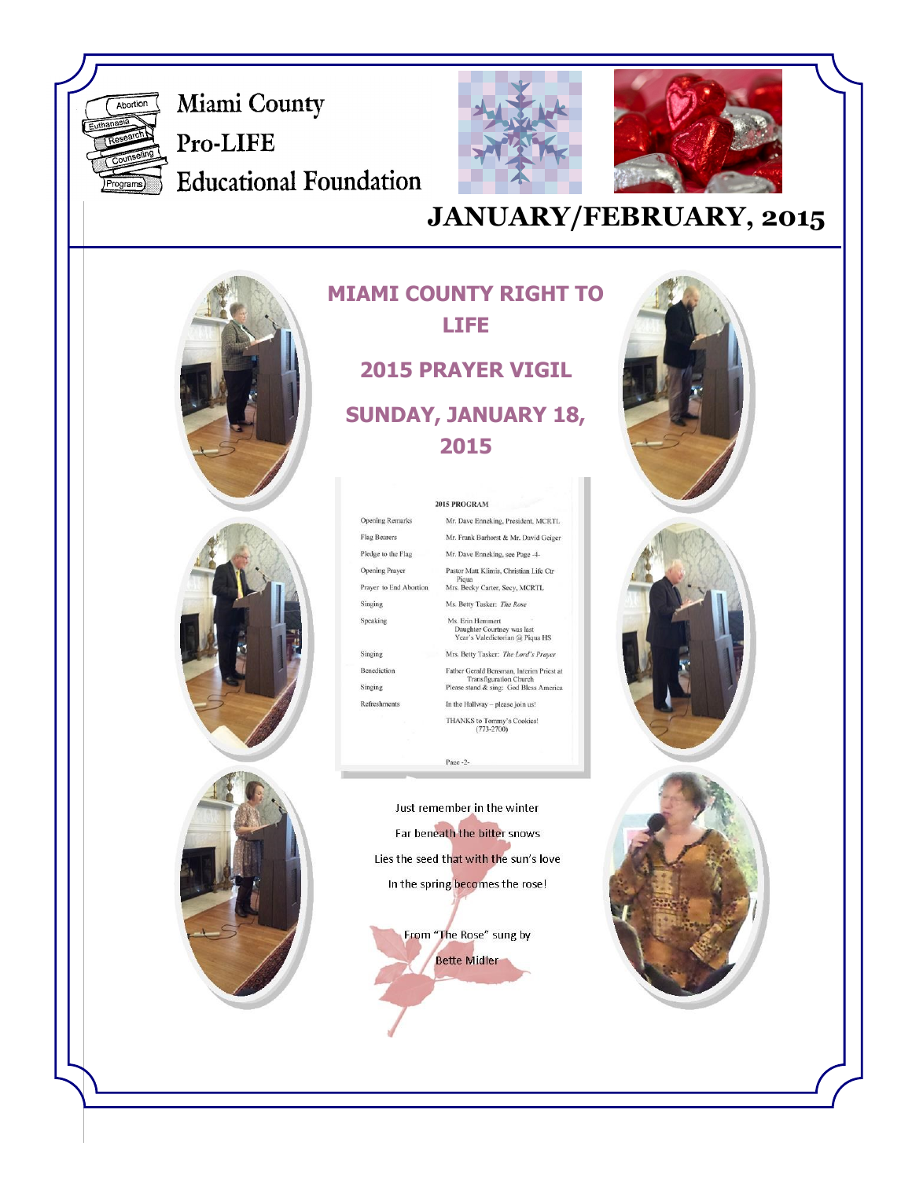

Miami County Pro-LIFE **Educational Foundation** 





## **JANUARY/FEBRUARY, 2015**



# **MIAMI COUNTY RIGHT TO LIFE 2015 PRAYER VIGIL SUNDAY, JANUARY 18,** 2015

#### 2015 PROGRAM

**Opening Remarks Flag Bearers** Pledge to the Flag Opening Prayer Prayer to End Abortion Singing Speaking Singing

Benediction Singing Refreshments Mr. Dave Enneking, President, MCRTL Mr. Frank Barhorst & Mr. David Geiger Mr. Dave Enneking, see Page -4-Pastor Matt Klimis, Christian Life Ctr Piqua<br>Mrs. Becky Carter, Secy, MCRTL Ms. Betty Tasker: The Rose Ms. Erin Hemmert<br>Daughter Courtney was last<br>Year's Valedictorian @ Piqua HS Mrs. Betty Tasker: The Lord's Prayer

 $\label{eq:1} \begin{array}{ll} \textbf{Father } \textbf{Gerald } \textbf{Bensman, Interim } \textbf{Priest at} \\ \textbf{Transfiguration } \textbf{Church} \\ \textbf{Please stand & sing: } \textbf{God } \textbf{Bless America} \end{array}$ In the Hallway - please join us! THANKS to Tommy's Cookies!<br>(773-2700)

Just remember in the winter Far beneath the bitter snows Lies the seed that with the sun's love In the spring becomes the rose!

Page -2-

From "The Rose" sung by **Bette Midler** 





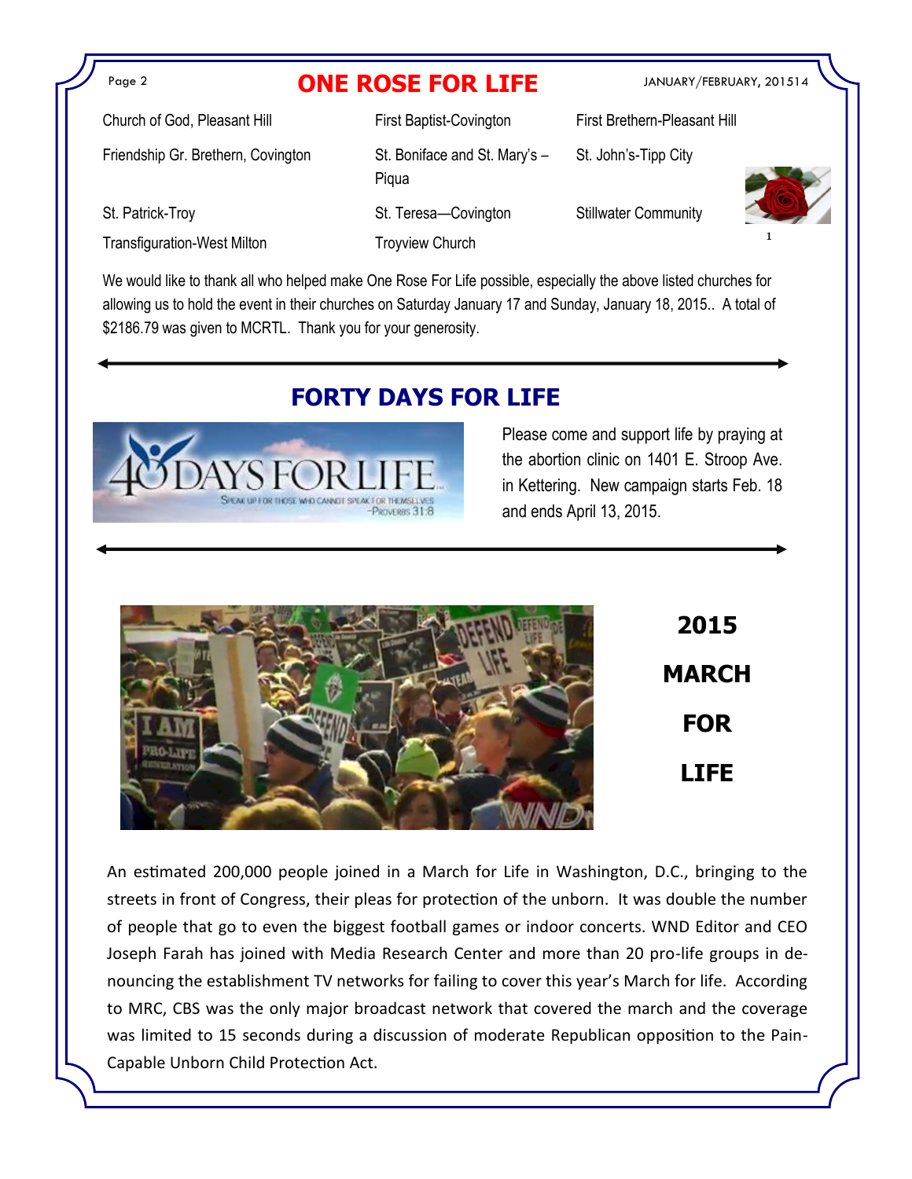### Page 2 **ONE ROSE FOR LIFE** JANUARY/FEBRUARY, 201514 1 Church of God, Pleasant Hill First Baptist-Covington First Brethern-Pleasant Hill Friendship Gr. Brethern, Covington St. Boniface and St. Mary's -Piqua St. John's-Tipp City St. Patrick-Troy **St. Teresa—Covington** Stillwater Community Transfiguration-West Milton Troyview Church

We would like to thank all who helped make One Rose For Life possible, especially the above listed churches for allowing us to hold the event in their churches on Saturday January 17 and Sunday, January 18, 2015.. A total of \$2186.79 was given to MCRTL. Thank you for your generosity.

## **FORTY DAYS FOR LIFE**



Please come and support life by praying at the abortion clinic on 1401 E. Stroop Ave. in Kettering. New campaign starts Feb. 18 and ends April 13, 2015.



**2015 MARCH FOR LIFE**

An estimated 200,000 people joined in a March for Life in Washington, D.C., bringing to the streets in front of Congress, their pleas for protection of the unborn. It was double the number of people that go to even the biggest football games or indoor concerts. WND Editor and CEO Joseph Farah has joined with Media Research Center and more than 20 pro-life groups in denouncing the establishment TV networks for failing to cover this year's March for life. According to MRC, CBS was the only major broadcast network that covered the march and the coverage was limited to 15 seconds during a discussion of moderate Republican opposition to the Pain-Capable Unborn Child Protection Act.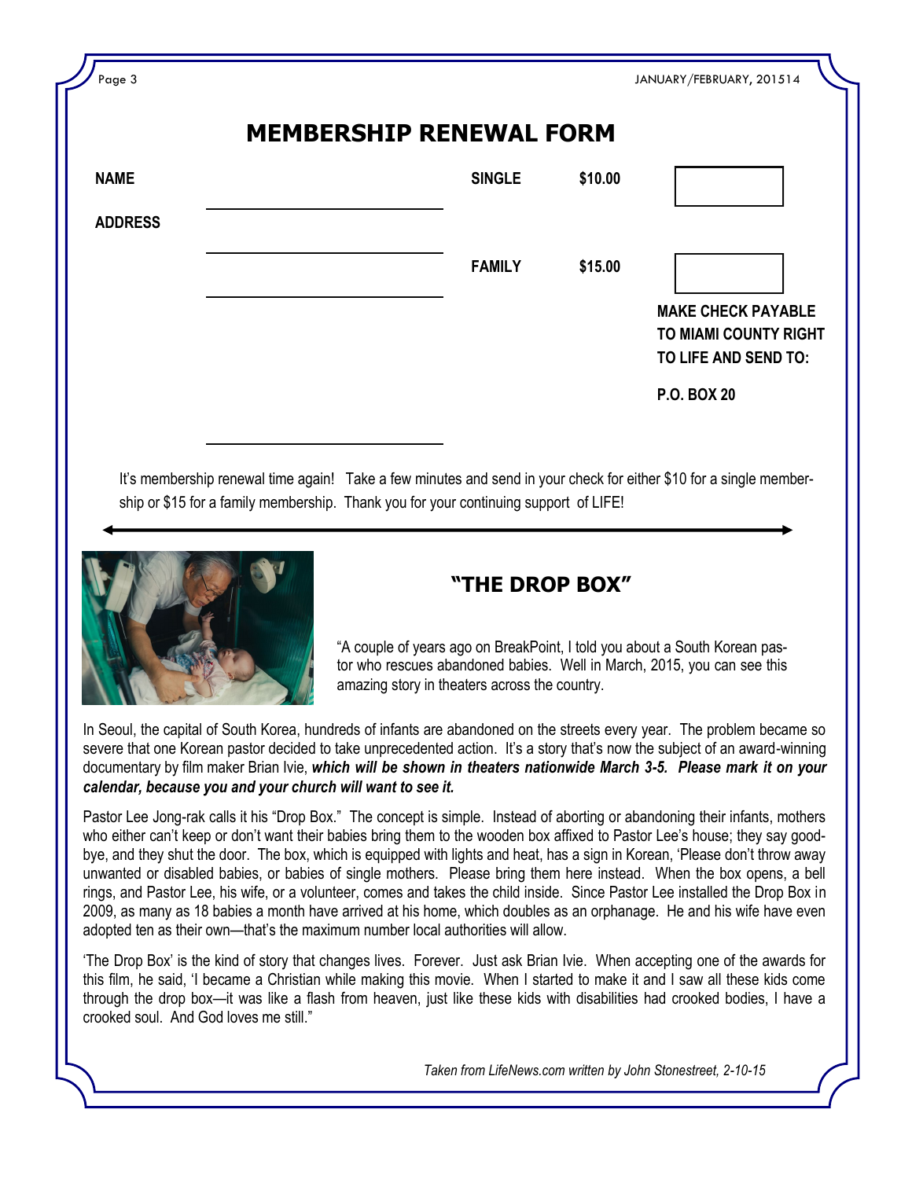|                | <b>MEMBERSHIP RENEWAL FORM</b> |         |                           |
|----------------|--------------------------------|---------|---------------------------|
| <b>NAME</b>    | <b>SINGLE</b>                  | \$10.00 |                           |
| <b>ADDRESS</b> |                                |         |                           |
|                | <b>FAMILY</b>                  | \$15.00 |                           |
|                |                                |         | <b>MAKE CHECK PAYABLE</b> |
|                |                                |         | TO MIAMI COUNTY RIGHT     |
|                |                                |         | TO LIFE AND SEND TO:      |
|                |                                |         | <b>P.O. BOX 20</b>        |

ship or \$15 for a family membership. Thank you for your continuing support of LIFE!



#### **"THE DROP BOX"**

"A couple of years ago on BreakPoint, I told you about a South Korean pastor who rescues abandoned babies. Well in March, 2015, you can see this amazing story in theaters across the country.

In Seoul, the capital of South Korea, hundreds of infants are abandoned on the streets every year. The problem became so severe that one Korean pastor decided to take unprecedented action. It's a story that's now the subject of an award-winning documentary by film maker Brian Ivie, *which will be shown in theaters nationwide March 3-5. Please mark it on your calendar, because you and your church will want to see it.*

Pastor Lee Jong-rak calls it his "Drop Box." The concept is simple. Instead of aborting or abandoning their infants, mothers who either can't keep or don't want their babies bring them to the wooden box affixed to Pastor Lee's house; they say goodbye, and they shut the door. The box, which is equipped with lights and heat, has a sign in Korean, 'Please don't throw away unwanted or disabled babies, or babies of single mothers. Please bring them here instead. When the box opens, a bell rings, and Pastor Lee, his wife, or a volunteer, comes and takes the child inside. Since Pastor Lee installed the Drop Box in 2009, as many as 18 babies a month have arrived at his home, which doubles as an orphanage. He and his wife have even adopted ten as their own—that's the maximum number local authorities will allow.

'The Drop Box' is the kind of story that changes lives. Forever. Just ask Brian Ivie. When accepting one of the awards for this film, he said, 'I became a Christian while making this movie. When I started to make it and I saw all these kids come through the drop box—it was like a flash from heaven, just like these kids with disabilities had crooked bodies, I have a crooked soul. And God loves me still."

*Taken from LifeNews.com written by John Stonestreet, 2-10-15*